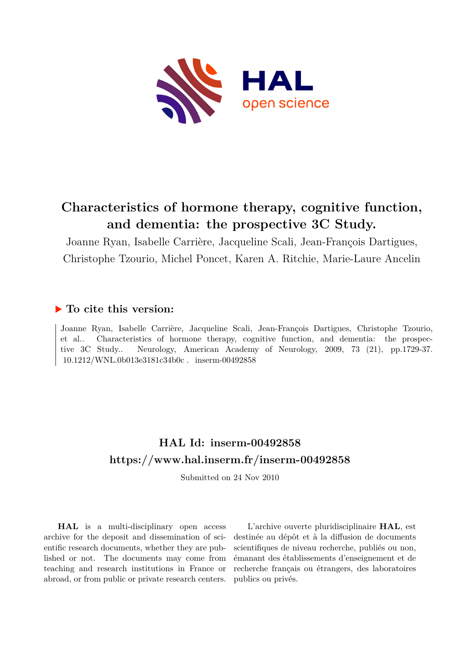

# **Characteristics of hormone therapy, cognitive function, and dementia: the prospective 3C Study.**

Joanne Ryan, Isabelle Carrière, Jacqueline Scali, Jean-François Dartigues, Christophe Tzourio, Michel Poncet, Karen A. Ritchie, Marie-Laure Ancelin

### **To cite this version:**

Joanne Ryan, Isabelle Carrière, Jacqueline Scali, Jean-François Dartigues, Christophe Tzourio, et al.. Characteristics of hormone therapy, cognitive function, and dementia: the prospective 3C Study.. Neurology, American Academy of Neurology, 2009, 73 (21), pp.1729-37.  $10.1212 / \text{WNL}.0b013e3181c34b0c$ . inserm-00492858

## **HAL Id: inserm-00492858 <https://www.hal.inserm.fr/inserm-00492858>**

Submitted on 24 Nov 2010

**HAL** is a multi-disciplinary open access archive for the deposit and dissemination of scientific research documents, whether they are published or not. The documents may come from teaching and research institutions in France or abroad, or from public or private research centers.

L'archive ouverte pluridisciplinaire **HAL**, est destinée au dépôt et à la diffusion de documents scientifiques de niveau recherche, publiés ou non, émanant des établissements d'enseignement et de recherche français ou étrangers, des laboratoires publics ou privés.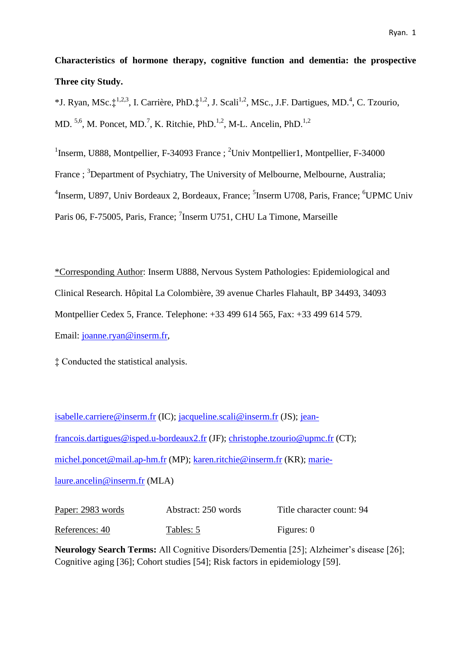**Characteristics of hormone therapy, cognitive function and dementia: the prospective Three city Study.** 

\*J. Ryan, MSc. $\ddagger^{1,2,3}$ , I. Carrière, PhD. $\ddagger^{1,2}$ , J. Scali<sup>1,2</sup>, MSc., J.F. Dartigues, MD.<sup>4</sup>, C. Tzourio, MD. <sup>5,6</sup>, M. Poncet, MD.<sup>7</sup>, K. Ritchie, PhD.<sup>1,2</sup>, M-L. Ancelin, PhD.<sup>1,2</sup>

<sup>1</sup>Inserm, U888, Montpellier, F-34093 France ; <sup>2</sup>Univ Montpellier1, Montpellier, F-34000 France ; <sup>3</sup>Department of Psychiatry, The University of Melbourne, Melbourne, Australia; <sup>4</sup>Inserm, U897, Univ Bordeaux 2, Bordeaux, France; <sup>5</sup>Inserm U708, Paris, France; <sup>6</sup>UPMC Univ Paris 06, F-75005, Paris, France; <sup>7</sup>Inserm U751, CHU La Timone, Marseille

\*Corresponding Author: Inserm U888, Nervous System Pathologies: Epidemiological and Clinical Research. Hôpital La Colombière, 39 avenue Charles Flahault, BP 34493, 34093 Montpellier Cedex 5, France. Telephone: +33 499 614 565, Fax: +33 499 614 579. Email: [joanne.ryan@inserm.fr,](mailto:joanne.ryan@inserm.fr)

‡ Conducted the statistical analysis.

[isabelle.carriere@inserm.fr](mailto:isabelle.carriere@inserm.fr) (IC); [jacqueline.scali@inserm.fr](mailto:jacqueline.scali@inserm.fr) (JS); [jean](mailto:jean-francois.dartigues@isped.u-bordeaux2.fr)[francois.dartigues@isped.u-bordeaux2.fr](mailto:jean-francois.dartigues@isped.u-bordeaux2.fr) (JF); [christophe.tzourio@upmc.fr](mailto:christophe.tzourio@upmc.fr) (CT); [michel.poncet@mail.ap-hm.fr](mailto:michel.poncet@mail.ap-hm.fr) (MP); [karen.ritchie@inserm.fr](mailto:karen.ritchie@inserm.fr) (KR); [marie](mailto:marie-laure.ancelin@inserm.fr)[laure.ancelin@inserm.fr](mailto:marie-laure.ancelin@inserm.fr) (MLA)

Paper: 2983 words Abstract: 250 words Title character count: 94 References: 40 Tables: 5 Figures: 0

**Neurology Search Terms:** All Cognitive Disorders/Dementia [25]; Alzheimer's disease [26]; Cognitive aging [36]; Cohort studies [54]; Risk factors in epidemiology [59].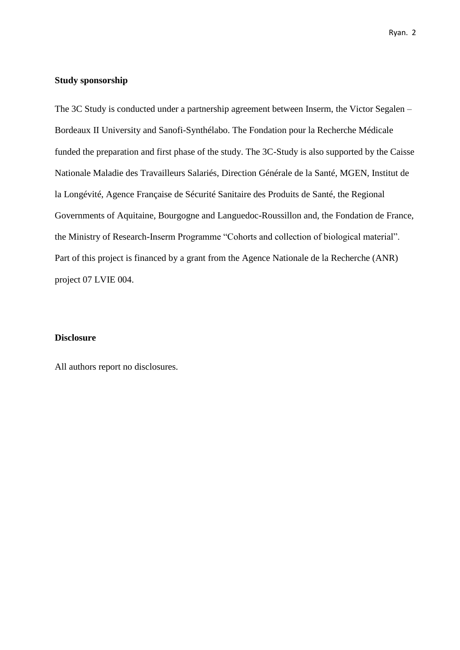#### **Study sponsorship**

The 3C Study is conducted under a partnership agreement between Inserm, the Victor Segalen – Bordeaux II University and Sanofi-Synthélabo. The Fondation pour la Recherche Médicale funded the preparation and first phase of the study. The 3C-Study is also supported by the Caisse Nationale Maladie des Travailleurs Salariés, Direction Générale de la Santé, MGEN, Institut de la Longévité, Agence Française de Sécurité Sanitaire des Produits de Santé, the Regional Governments of Aquitaine, Bourgogne and Languedoc-Roussillon and, the Fondation de France, the Ministry of Research-Inserm Programme "Cohorts and collection of biological material". Part of this project is financed by a grant from the Agence Nationale de la Recherche (ANR) project 07 LVIE 004.

#### **Disclosure**

All authors report no disclosures.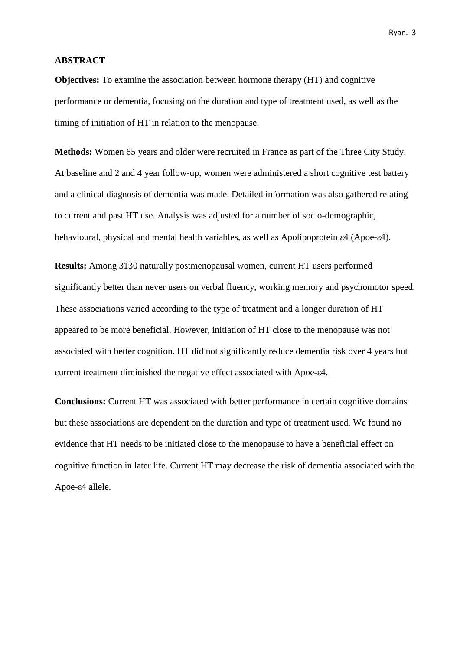#### **ABSTRACT**

**Objectives:** To examine the association between hormone therapy (HT) and cognitive performance or dementia, focusing on the duration and type of treatment used, as well as the timing of initiation of HT in relation to the menopause.

**Methods:** Women 65 years and older were recruited in France as part of the Three City Study. At baseline and 2 and 4 year follow-up, women were administered a short cognitive test battery and a clinical diagnosis of dementia was made. Detailed information was also gathered relating to current and past HT use. Analysis was adjusted for a number of socio-demographic, behavioural, physical and mental health variables, as well as Apolipoprotein ε4 (Apoe-ε4).

**Results:** Among 3130 naturally postmenopausal women, current HT users performed significantly better than never users on verbal fluency, working memory and psychomotor speed. These associations varied according to the type of treatment and a longer duration of HT appeared to be more beneficial. However, initiation of HT close to the menopause was not associated with better cognition. HT did not significantly reduce dementia risk over 4 years but current treatment diminished the negative effect associated with Apoe-ε4.

**Conclusions:** Current HT was associated with better performance in certain cognitive domains but these associations are dependent on the duration and type of treatment used. We found no evidence that HT needs to be initiated close to the menopause to have a beneficial effect on cognitive function in later life. Current HT may decrease the risk of dementia associated with the Apoe-ε4 allele.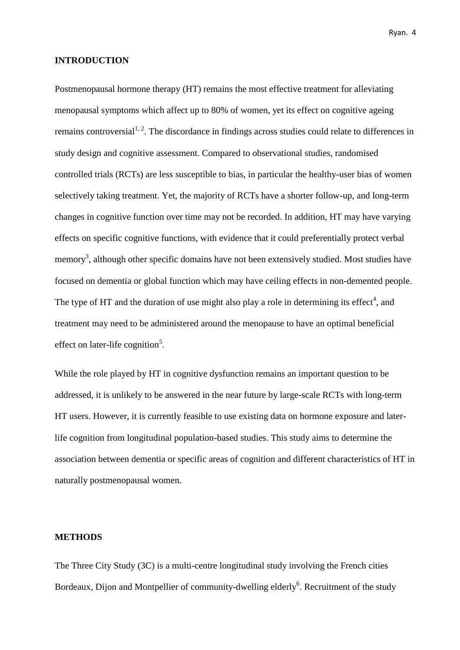#### **INTRODUCTION**

Postmenopausal hormone therapy (HT) remains the most effective treatment for alleviating menopausal symptoms which affect up to 80% of women, yet its effect on cognitive ageing remains controversial<sup>1, 2</sup>. The discordance in findings across studies could relate to differences in study design and cognitive assessment. Compared to observational studies, randomised controlled trials (RCTs) are less susceptible to bias, in particular the healthy-user bias of women selectively taking treatment. Yet, the majority of RCTs have a shorter follow-up, and long-term changes in cognitive function over time may not be recorded. In addition, HT may have varying effects on specific cognitive functions, with evidence that it could preferentially protect verbal memory<sup>3</sup>, although other specific domains have not been extensively studied. Most studies have focused on dementia or global function which may have ceiling effects in non-demented people. The type of HT and the duration of use might also play a role in determining its effect<sup>4</sup>, and treatment may need to be administered around the menopause to have an optimal beneficial effect on later-life cognition<sup>5</sup>.

While the role played by HT in cognitive dysfunction remains an important question to be addressed, it is unlikely to be answered in the near future by large-scale RCTs with long-term HT users. However, it is currently feasible to use existing data on hormone exposure and laterlife cognition from longitudinal population-based studies. This study aims to determine the association between dementia or specific areas of cognition and different characteristics of HT in naturally postmenopausal women.

#### **METHODS**

The Three City Study (3C) is a multi-centre longitudinal study involving the French cities Bordeaux, Dijon and Montpellier of community-dwelling elderly<sup>6</sup>. Recruitment of the study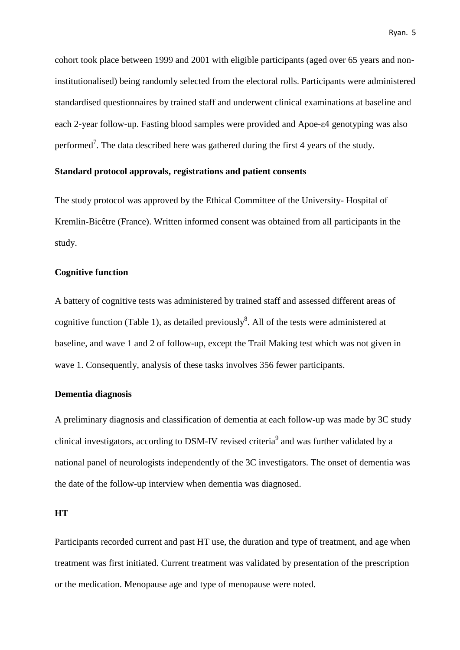cohort took place between 1999 and 2001 with eligible participants (aged over 65 years and noninstitutionalised) being randomly selected from the electoral rolls. Participants were administered standardised questionnaires by trained staff and underwent clinical examinations at baseline and each 2-year follow-up. Fasting blood samples were provided and Apoe-ε4 genotyping was also performed<sup>7</sup>. The data described here was gathered during the first 4 years of the study.

#### **Standard protocol approvals, registrations and patient consents**

The study protocol was approved by the Ethical Committee of the University- Hospital of Kremlin-Bicêtre (France). Written informed consent was obtained from all participants in the study.

#### **Cognitive function**

A battery of cognitive tests was administered by trained staff and assessed different areas of cognitive function (Table 1), as detailed previously<sup>8</sup>. All of the tests were administered at baseline, and wave 1 and 2 of follow-up, except the Trail Making test which was not given in wave 1. Consequently, analysis of these tasks involves 356 fewer participants.

#### **Dementia diagnosis**

A preliminary diagnosis and classification of dementia at each follow-up was made by 3C study clinical investigators, according to DSM-IV revised criteria<sup>9</sup> and was further validated by a national panel of neurologists independently of the 3C investigators. The onset of dementia was the date of the follow-up interview when dementia was diagnosed.

#### **HT**

Participants recorded current and past HT use, the duration and type of treatment, and age when treatment was first initiated. Current treatment was validated by presentation of the prescription or the medication. Menopause age and type of menopause were noted.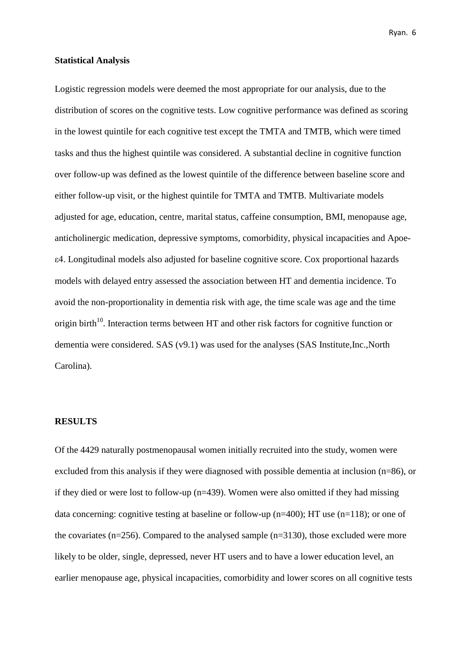#### **Statistical Analysis**

Logistic regression models were deemed the most appropriate for our analysis, due to the distribution of scores on the cognitive tests. Low cognitive performance was defined as scoring in the lowest quintile for each cognitive test except the TMTA and TMTB, which were timed tasks and thus the highest quintile was considered. A substantial decline in cognitive function over follow-up was defined as the lowest quintile of the difference between baseline score and either follow-up visit, or the highest quintile for TMTA and TMTB. Multivariate models adjusted for age, education, centre, marital status, caffeine consumption, BMI, menopause age, anticholinergic medication, depressive symptoms, comorbidity, physical incapacities and Apoeε4. Longitudinal models also adjusted for baseline cognitive score. Cox proportional hazards models with delayed entry assessed the association between HT and dementia incidence. To avoid the non-proportionality in dementia risk with age, the time scale was age and the time origin birth<sup>10</sup>. Interaction terms between HT and other risk factors for cognitive function or dementia were considered. SAS (v9.1) was used for the analyses (SAS Institute,Inc.,North Carolina).

#### **RESULTS**

Of the 4429 naturally postmenopausal women initially recruited into the study, women were excluded from this analysis if they were diagnosed with possible dementia at inclusion (n=86), or if they died or were lost to follow-up (n=439). Women were also omitted if they had missing data concerning: cognitive testing at baseline or follow-up ( $n=400$ ); HT use ( $n=118$ ); or one of the covariates (n=256). Compared to the analysed sample (n=3130), those excluded were more likely to be older, single, depressed, never HT users and to have a lower education level, an earlier menopause age, physical incapacities, comorbidity and lower scores on all cognitive tests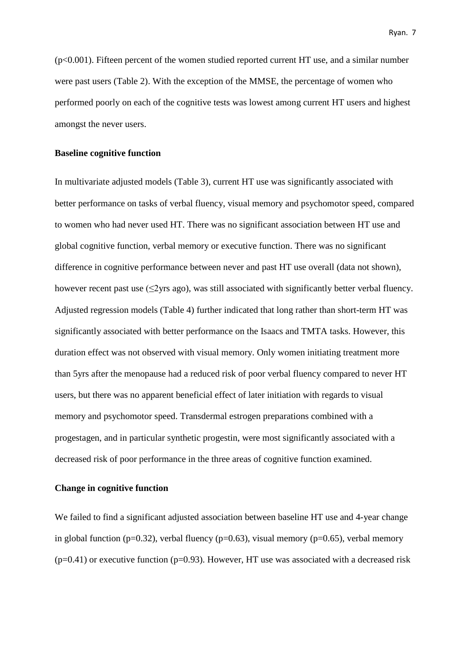$(p<0.001)$ . Fifteen percent of the women studied reported current HT use, and a similar number were past users (Table 2). With the exception of the MMSE, the percentage of women who performed poorly on each of the cognitive tests was lowest among current HT users and highest amongst the never users.

#### **Baseline cognitive function**

In multivariate adjusted models (Table 3), current HT use was significantly associated with better performance on tasks of verbal fluency, visual memory and psychomotor speed, compared to women who had never used HT. There was no significant association between HT use and global cognitive function, verbal memory or executive function. There was no significant difference in cognitive performance between never and past HT use overall (data not shown), however recent past use (<2yrs ago), was still associated with significantly better verbal fluency. Adjusted regression models (Table 4) further indicated that long rather than short-term HT was significantly associated with better performance on the Isaacs and TMTA tasks. However, this duration effect was not observed with visual memory. Only women initiating treatment more than 5yrs after the menopause had a reduced risk of poor verbal fluency compared to never HT users, but there was no apparent beneficial effect of later initiation with regards to visual memory and psychomotor speed. Transdermal estrogen preparations combined with a progestagen, and in particular synthetic progestin, were most significantly associated with a decreased risk of poor performance in the three areas of cognitive function examined.

#### **Change in cognitive function**

We failed to find a significant adjusted association between baseline HT use and 4-year change in global function (p=0.32), verbal fluency (p=0.63), visual memory (p=0.65), verbal memory  $(p=0.41)$  or executive function ( $p=0.93$ ). However, HT use was associated with a decreased risk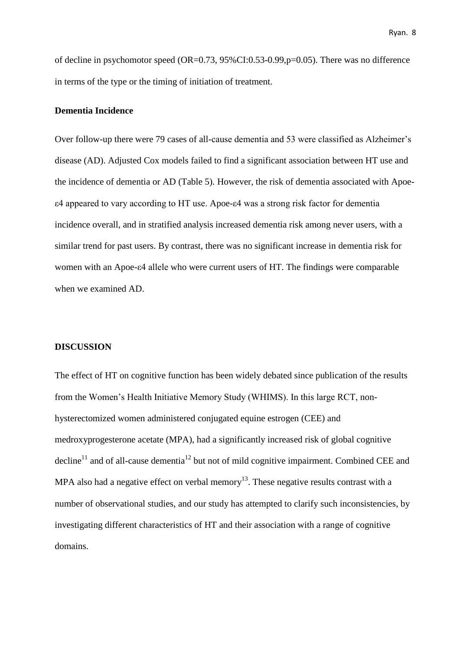Ryan. 8

of decline in psychomotor speed (OR=0.73, 95%CI:0.53-0.99,p=0.05). There was no difference in terms of the type or the timing of initiation of treatment.

#### **Dementia Incidence**

Over follow-up there were 79 cases of all-cause dementia and 53 were classified as Alzheimer's disease (AD). Adjusted Cox models failed to find a significant association between HT use and the incidence of dementia or AD (Table 5). However, the risk of dementia associated with Apoeε4 appeared to vary according to HT use. Apoe-ε4 was a strong risk factor for dementia incidence overall, and in stratified analysis increased dementia risk among never users, with a similar trend for past users. By contrast, there was no significant increase in dementia risk for women with an Apoe-ε4 allele who were current users of HT. The findings were comparable when we examined AD.

#### **DISCUSSION**

The effect of HT on cognitive function has been widely debated since publication of the results from the Women's Health Initiative Memory Study (WHIMS). In this large RCT, nonhysterectomized women administered conjugated equine estrogen (CEE) and medroxyprogesterone acetate (MPA), had a significantly increased risk of global cognitive decline<sup>11</sup> and of all-cause dementia<sup>12</sup> but not of mild cognitive impairment. Combined CEE and MPA also had a negative effect on verbal memory<sup>13</sup>. These negative results contrast with a number of observational studies, and our study has attempted to clarify such inconsistencies, by investigating different characteristics of HT and their association with a range of cognitive domains.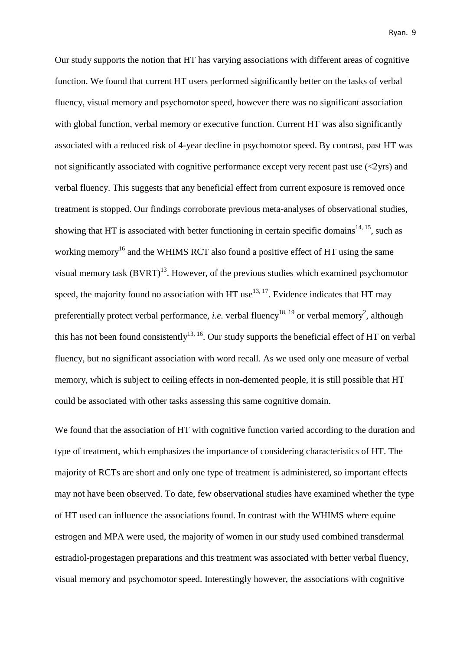Our study supports the notion that HT has varying associations with different areas of cognitive function. We found that current HT users performed significantly better on the tasks of verbal fluency, visual memory and psychomotor speed, however there was no significant association with global function, verbal memory or executive function. Current HT was also significantly associated with a reduced risk of 4-year decline in psychomotor speed. By contrast, past HT was not significantly associated with cognitive performance except very recent past use (<2yrs) and verbal fluency. This suggests that any beneficial effect from current exposure is removed once treatment is stopped. Our findings corroborate previous meta-analyses of observational studies, showing that HT is associated with better functioning in certain specific domains<sup>14, 15</sup>, such as working memory<sup>16</sup> and the WHIMS RCT also found a positive effect of HT using the same visual memory task  $(BVRT)^{13}$ . However, of the previous studies which examined psychomotor speed, the majority found no association with HT use<sup>13, 17</sup>. Evidence indicates that HT may preferentially protect verbal performance, *i.e.* verbal fluency<sup>18, 19</sup> or verbal memory<sup>2</sup>, although this has not been found consistently<sup>13, 16</sup>. Our study supports the beneficial effect of HT on verbal fluency, but no significant association with word recall. As we used only one measure of verbal memory, which is subject to ceiling effects in non-demented people, it is still possible that HT could be associated with other tasks assessing this same cognitive domain.

We found that the association of HT with cognitive function varied according to the duration and type of treatment, which emphasizes the importance of considering characteristics of HT. The majority of RCTs are short and only one type of treatment is administered, so important effects may not have been observed. To date, few observational studies have examined whether the type of HT used can influence the associations found. In contrast with the WHIMS where equine estrogen and MPA were used, the majority of women in our study used combined transdermal estradiol-progestagen preparations and this treatment was associated with better verbal fluency, visual memory and psychomotor speed. Interestingly however, the associations with cognitive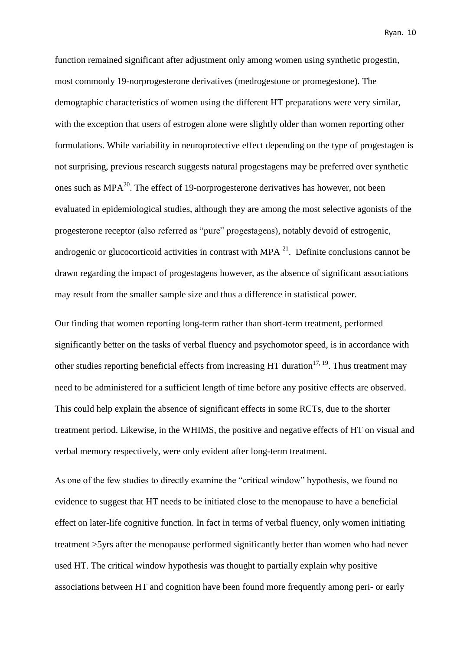function remained significant after adjustment only among women using synthetic progestin, most commonly 19-norprogesterone derivatives (medrogestone or promegestone). The demographic characteristics of women using the different HT preparations were very similar, with the exception that users of estrogen alone were slightly older than women reporting other formulations. While variability in neuroprotective effect depending on the type of progestagen is not surprising, previous research suggests natural progestagens may be preferred over synthetic ones such as  $MPA^{20}$ . The effect of 19-norprogesterone derivatives has however, not been evaluated in epidemiological studies, although they are among the most selective agonists of the progesterone receptor (also referred as "pure" progestagens), notably devoid of estrogenic, androgenic or glucocorticoid activities in contrast with MPA  $^{21}$ . Definite conclusions cannot be drawn regarding the impact of progestagens however, as the absence of significant associations may result from the smaller sample size and thus a difference in statistical power.

Our finding that women reporting long-term rather than short-term treatment, performed significantly better on the tasks of verbal fluency and psychomotor speed, is in accordance with other studies reporting beneficial effects from increasing HT duration<sup>17, 19</sup>. Thus treatment may need to be administered for a sufficient length of time before any positive effects are observed. This could help explain the absence of significant effects in some RCTs, due to the shorter treatment period. Likewise, in the WHIMS, the positive and negative effects of HT on visual and verbal memory respectively, were only evident after long-term treatment.

As one of the few studies to directly examine the "critical window" hypothesis, we found no evidence to suggest that HT needs to be initiated close to the menopause to have a beneficial effect on later-life cognitive function. In fact in terms of verbal fluency, only women initiating treatment >5yrs after the menopause performed significantly better than women who had never used HT. The critical window hypothesis was thought to partially explain why positive associations between HT and cognition have been found more frequently among peri- or early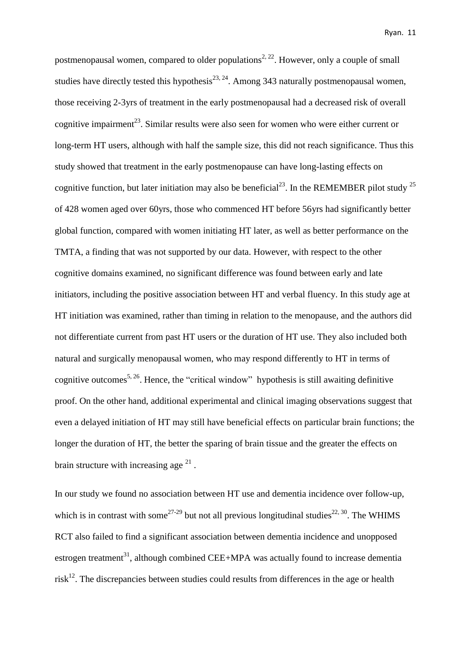postmenopausal women, compared to older populations<sup>2, 22</sup>. However, only a couple of small studies have directly tested this hypothesis<sup>23, 24</sup>. Among 343 naturally postmenopausal women, those receiving 2-3yrs of treatment in the early postmenopausal had a decreased risk of overall cognitive impairment<sup>23</sup>. Similar results were also seen for women who were either current or long-term HT users, although with half the sample size, this did not reach significance. Thus this study showed that treatment in the early postmenopause can have long-lasting effects on cognitive function, but later initiation may also be beneficial<sup>23</sup>. In the REMEMBER pilot study  $^{25}$ of 428 women aged over 60yrs, those who commenced HT before 56yrs had significantly better global function, compared with women initiating HT later, as well as better performance on the TMTA, a finding that was not supported by our data. However, with respect to the other cognitive domains examined, no significant difference was found between early and late initiators, including the positive association between HT and verbal fluency. In this study age at HT initiation was examined, rather than timing in relation to the menopause, and the authors did not differentiate current from past HT users or the duration of HT use. They also included both natural and surgically menopausal women, who may respond differently to HT in terms of cognitive outcomes<sup>5, 26</sup>. Hence, the "critical window" hypothesis is still awaiting definitive proof. On the other hand, additional experimental and clinical imaging observations suggest that even a delayed initiation of HT may still have beneficial effects on particular brain functions; the longer the duration of HT, the better the sparing of brain tissue and the greater the effects on brain structure with increasing age  $^{21}$ .

In our study we found no association between HT use and dementia incidence over follow-up, which is in contrast with some<sup>27-29</sup> but not all previous longitudinal studies<sup>22, 30</sup>. The WHIMS RCT also failed to find a significant association between dementia incidence and unopposed estrogen treatment<sup>31</sup>, although combined CEE+MPA was actually found to increase dementia risk $^{12}$ . The discrepancies between studies could results from differences in the age or health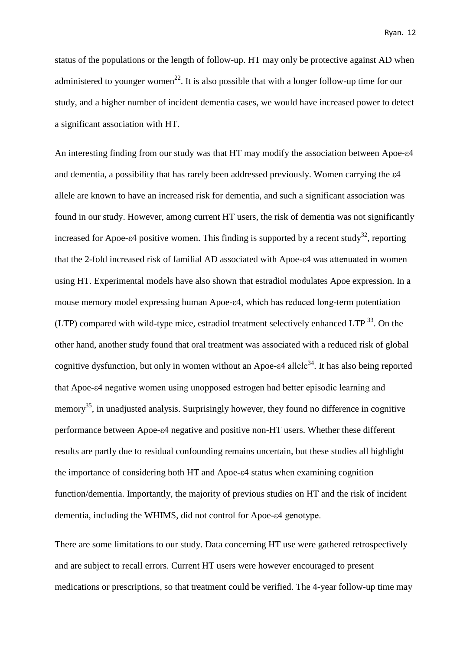status of the populations or the length of follow-up. HT may only be protective against AD when administered to younger women<sup>22</sup>. It is also possible that with a longer follow-up time for our study, and a higher number of incident dementia cases, we would have increased power to detect a significant association with HT.

An interesting finding from our study was that HT may modify the association between Apoe-ε4 and dementia, a possibility that has rarely been addressed previously. Women carrying the ε4 allele are known to have an increased risk for dementia, and such a significant association was found in our study. However, among current HT users, the risk of dementia was not significantly increased for Apoe- $\varepsilon$ 4 positive women. This finding is supported by a recent study<sup>32</sup>, reporting that the 2-fold increased risk of familial AD associated with Apoe-ε4 was attenuated in women using HT. Experimental models have also shown that estradiol modulates Apoe expression. In a mouse memory model expressing human Apoe-ε4, which has reduced long-term potentiation  $(LTP)$  compared with wild-type mice, estradiol treatment selectively enhanced  $LTP$ <sup>33</sup>. On the other hand, another study found that oral treatment was associated with a reduced risk of global cognitive dysfunction, but only in women without an Apoe- $\varepsilon$ 4 allele<sup>34</sup>. It has also being reported that Apoe-ε4 negative women using unopposed estrogen had better episodic learning and memory<sup>35</sup>, in unadjusted analysis. Surprisingly however, they found no difference in cognitive performance between Apoe-ε4 negative and positive non-HT users. Whether these different results are partly due to residual confounding remains uncertain, but these studies all highlight the importance of considering both HT and Apoe-ε4 status when examining cognition function/dementia. Importantly, the majority of previous studies on HT and the risk of incident dementia, including the WHIMS, did not control for Apoe-ε4 genotype.

There are some limitations to our study. Data concerning HT use were gathered retrospectively and are subject to recall errors. Current HT users were however encouraged to present medications or prescriptions, so that treatment could be verified. The 4-year follow-up time may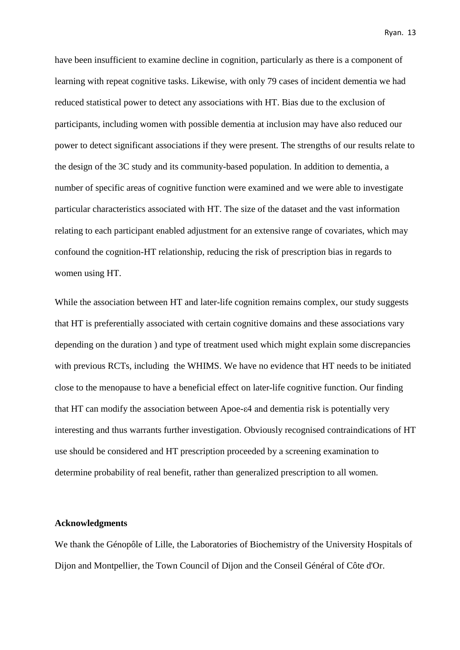have been insufficient to examine decline in cognition, particularly as there is a component of learning with repeat cognitive tasks. Likewise, with only 79 cases of incident dementia we had reduced statistical power to detect any associations with HT. Bias due to the exclusion of participants, including women with possible dementia at inclusion may have also reduced our power to detect significant associations if they were present. The strengths of our results relate to the design of the 3C study and its community-based population. In addition to dementia, a number of specific areas of cognitive function were examined and we were able to investigate particular characteristics associated with HT. The size of the dataset and the vast information relating to each participant enabled adjustment for an extensive range of covariates, which may confound the cognition-HT relationship, reducing the risk of prescription bias in regards to women using HT.

While the association between HT and later-life cognition remains complex, our study suggests that HT is preferentially associated with certain cognitive domains and these associations vary depending on the duration ) and type of treatment used which might explain some discrepancies with previous RCTs, including the WHIMS. We have no evidence that HT needs to be initiated close to the menopause to have a beneficial effect on later-life cognitive function. Our finding that HT can modify the association between Apoe-ε4 and dementia risk is potentially very interesting and thus warrants further investigation. Obviously recognised contraindications of HT use should be considered and HT prescription proceeded by a screening examination to determine probability of real benefit, rather than generalized prescription to all women.

#### **Acknowledgments**

We thank the Génopôle of Lille, the Laboratories of Biochemistry of the University Hospitals of Dijon and Montpellier, the Town Council of Dijon and the Conseil Général of Côte d'Or.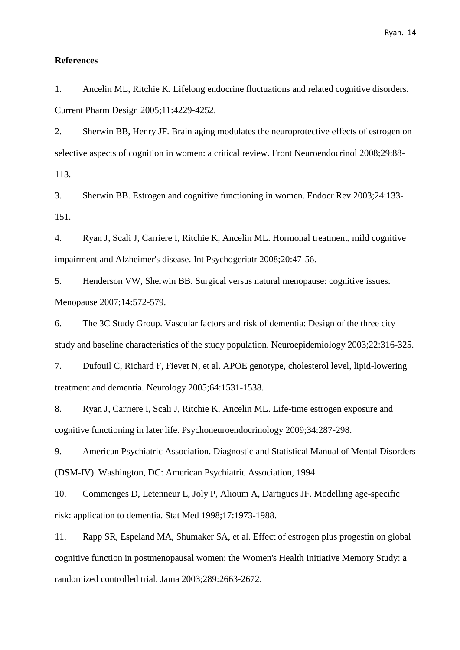#### **References**

1. Ancelin ML, Ritchie K. Lifelong endocrine fluctuations and related cognitive disorders. Current Pharm Design 2005;11:4229-4252.

2. Sherwin BB, Henry JF. Brain aging modulates the neuroprotective effects of estrogen on selective aspects of cognition in women: a critical review. Front Neuroendocrinol 2008;29:88- 113.

3. Sherwin BB. Estrogen and cognitive functioning in women. Endocr Rev 2003;24:133- 151.

4. Ryan J, Scali J, Carriere I, Ritchie K, Ancelin ML. Hormonal treatment, mild cognitive impairment and Alzheimer's disease. Int Psychogeriatr 2008;20:47-56.

5. Henderson VW, Sherwin BB. Surgical versus natural menopause: cognitive issues. Menopause 2007;14:572-579.

6. The 3C Study Group. Vascular factors and risk of dementia: Design of the three city study and baseline characteristics of the study population. Neuroepidemiology 2003;22:316-325.

7. Dufouil C, Richard F, Fievet N, et al. APOE genotype, cholesterol level, lipid-lowering treatment and dementia. Neurology 2005;64:1531-1538.

8. Ryan J, Carriere I, Scali J, Ritchie K, Ancelin ML. Life-time estrogen exposure and cognitive functioning in later life. Psychoneuroendocrinology 2009;34:287-298.

9. American Psychiatric Association. Diagnostic and Statistical Manual of Mental Disorders (DSM-IV). Washington, DC: American Psychiatric Association, 1994.

10. Commenges D, Letenneur L, Joly P, Alioum A, Dartigues JF. Modelling age-specific risk: application to dementia. Stat Med 1998;17:1973-1988.

11. Rapp SR, Espeland MA, Shumaker SA, et al. Effect of estrogen plus progestin on global cognitive function in postmenopausal women: the Women's Health Initiative Memory Study: a randomized controlled trial. Jama 2003;289:2663-2672.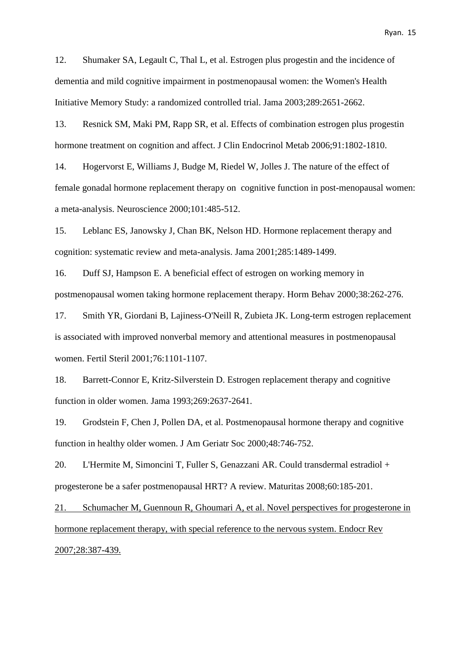12. Shumaker SA, Legault C, Thal L, et al. Estrogen plus progestin and the incidence of dementia and mild cognitive impairment in postmenopausal women: the Women's Health Initiative Memory Study: a randomized controlled trial. Jama 2003;289:2651-2662.

13. Resnick SM, Maki PM, Rapp SR, et al. Effects of combination estrogen plus progestin hormone treatment on cognition and affect. J Clin Endocrinol Metab 2006;91:1802-1810.

14. Hogervorst E, Williams J, Budge M, Riedel W, Jolles J. The nature of the effect of female gonadal hormone replacement therapy on cognitive function in post-menopausal women: a meta-analysis. Neuroscience 2000;101:485-512.

15. Leblanc ES, Janowsky J, Chan BK, Nelson HD. Hormone replacement therapy and cognition: systematic review and meta-analysis. Jama 2001;285:1489-1499.

16. Duff SJ, Hampson E. A beneficial effect of estrogen on working memory in postmenopausal women taking hormone replacement therapy. Horm Behav 2000;38:262-276.

17. Smith YR, Giordani B, Lajiness-O'Neill R, Zubieta JK. Long-term estrogen replacement is associated with improved nonverbal memory and attentional measures in postmenopausal women. Fertil Steril 2001;76:1101-1107.

18. Barrett-Connor E, Kritz-Silverstein D. Estrogen replacement therapy and cognitive function in older women. Jama 1993;269:2637-2641.

19. Grodstein F, Chen J, Pollen DA, et al. Postmenopausal hormone therapy and cognitive function in healthy older women. J Am Geriatr Soc 2000;48:746-752.

20. L'Hermite M, Simoncini T, Fuller S, Genazzani AR. Could transdermal estradiol + progesterone be a safer postmenopausal HRT? A review. Maturitas 2008;60:185-201.

21. Schumacher M, Guennoun R, Ghoumari A, et al. Novel perspectives for progesterone in hormone replacement therapy, with special reference to the nervous system. Endocr Rev 2007;28:387-439.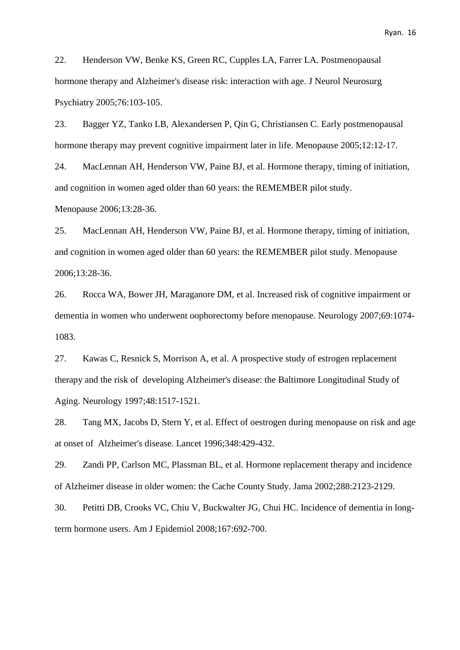22. Henderson VW, Benke KS, Green RC, Cupples LA, Farrer LA. Postmenopausal hormone therapy and Alzheimer's disease risk: interaction with age. J Neurol Neurosurg Psychiatry 2005;76:103-105.

23. Bagger YZ, Tanko LB, Alexandersen P, Qin G, Christiansen C. Early postmenopausal hormone therapy may prevent cognitive impairment later in life. Menopause 2005;12:12-17.

24. MacLennan AH, Henderson VW, Paine BJ, et al. Hormone therapy, timing of initiation, and cognition in women aged older than 60 years: the REMEMBER pilot study. Menopause 2006;13:28-36.

25. MacLennan AH, Henderson VW, Paine BJ, et al. Hormone therapy, timing of initiation, and cognition in women aged older than 60 years: the REMEMBER pilot study. Menopause 2006;13:28-36.

26. Rocca WA, Bower JH, Maraganore DM, et al. Increased risk of cognitive impairment or dementia in women who underwent oophorectomy before menopause. Neurology 2007;69:1074- 1083.

27. Kawas C, Resnick S, Morrison A, et al. A prospective study of estrogen replacement therapy and the risk of developing Alzheimer's disease: the Baltimore Longitudinal Study of Aging. Neurology 1997;48:1517-1521.

28. Tang MX, Jacobs D, Stern Y, et al. Effect of oestrogen during menopause on risk and age at onset of Alzheimer's disease. Lancet 1996;348:429-432.

29. Zandi PP, Carlson MC, Plassman BL, et al. Hormone replacement therapy and incidence of Alzheimer disease in older women: the Cache County Study. Jama 2002;288:2123-2129.

30. Petitti DB, Crooks VC, Chiu V, Buckwalter JG, Chui HC. Incidence of dementia in longterm hormone users. Am J Epidemiol 2008;167:692-700.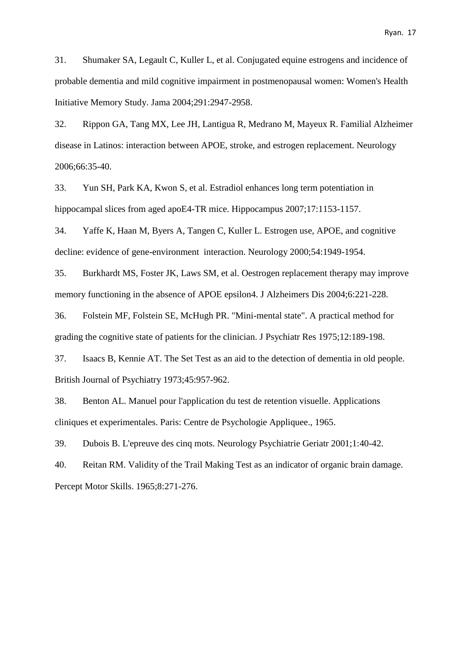31. Shumaker SA, Legault C, Kuller L, et al. Conjugated equine estrogens and incidence of probable dementia and mild cognitive impairment in postmenopausal women: Women's Health Initiative Memory Study. Jama 2004;291:2947-2958.

32. Rippon GA, Tang MX, Lee JH, Lantigua R, Medrano M, Mayeux R. Familial Alzheimer disease in Latinos: interaction between APOE, stroke, and estrogen replacement. Neurology 2006;66:35-40.

33. Yun SH, Park KA, Kwon S, et al. Estradiol enhances long term potentiation in hippocampal slices from aged apoE4-TR mice. Hippocampus 2007;17:1153-1157.

34. Yaffe K, Haan M, Byers A, Tangen C, Kuller L. Estrogen use, APOE, and cognitive decline: evidence of gene-environment interaction. Neurology 2000;54:1949-1954.

35. Burkhardt MS, Foster JK, Laws SM, et al. Oestrogen replacement therapy may improve memory functioning in the absence of APOE epsilon4. J Alzheimers Dis 2004;6:221-228.

36. Folstein MF, Folstein SE, McHugh PR. "Mini-mental state". A practical method for grading the cognitive state of patients for the clinician. J Psychiatr Res 1975;12:189-198.

37. Isaacs B, Kennie AT. The Set Test as an aid to the detection of dementia in old people. British Journal of Psychiatry 1973;45:957-962.

38. Benton AL. Manuel pour l'application du test de retention visuelle. Applications cliniques et experimentales. Paris: Centre de Psychologie Appliquee., 1965.

39. Dubois B. L'epreuve des cinq mots. Neurology Psychiatrie Geriatr 2001;1:40-42.

40. Reitan RM. Validity of the Trail Making Test as an indicator of organic brain damage. Percept Motor Skills. 1965;8:271-276.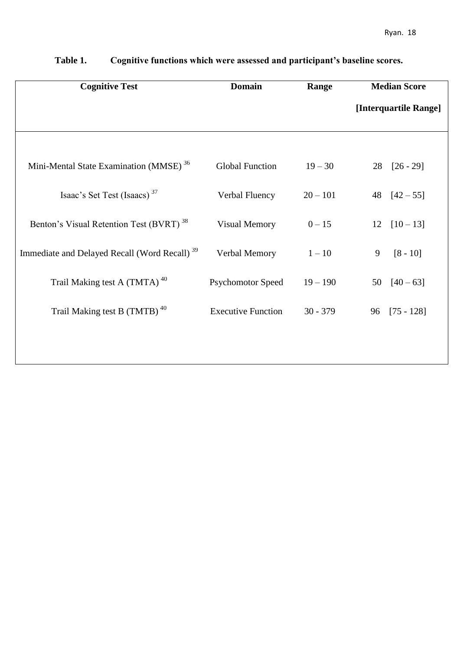| <b>Cognitive Test</b>                                    | <b>Domain</b>             | Range      | <b>Median Score</b>   |
|----------------------------------------------------------|---------------------------|------------|-----------------------|
|                                                          |                           |            | [Interquartile Range] |
|                                                          |                           |            |                       |
| Mini-Mental State Examination (MMSE) <sup>36</sup>       | <b>Global Function</b>    | $19 - 30$  | $28$ $[26 - 29]$      |
| Isaac's Set Test (Isaacs) <sup>37</sup>                  | Verbal Fluency            | $20 - 101$ | 48 $[42 - 55]$        |
| Benton's Visual Retention Test (BVRT) <sup>38</sup>      | <b>Visual Memory</b>      | $0 - 15$   | $[10 - 13]$<br>12     |
| Immediate and Delayed Recall (Word Recall) <sup>39</sup> | Verbal Memory             | $1 - 10$   | $[8 - 10]$<br>9       |
| Trail Making test A (TMTA) <sup>40</sup>                 | <b>Psychomotor Speed</b>  | $19 - 190$ | $[40 - 63]$<br>50     |
| Trail Making test B (TMTB) <sup>40</sup>                 | <b>Executive Function</b> | $30 - 379$ | $[75 - 128]$<br>96    |
|                                                          |                           |            |                       |
|                                                          |                           |            |                       |

**Table 1. Cognitive functions which were assessed and participant's baseline scores.**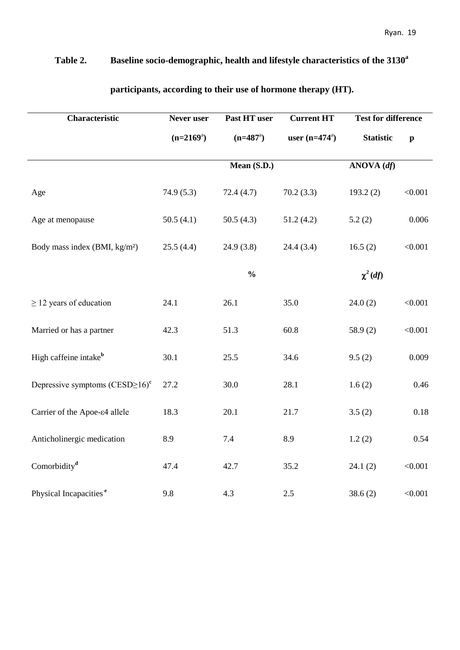### **Table 2. Baseline socio-demographic, health and lifestyle characteristics of the 3130<sup>a</sup>**

| Characteristic                              | Never user   | Past HT user  | <b>Current HT</b>      | <b>Test for difference</b>             |              |  |  |
|---------------------------------------------|--------------|---------------|------------------------|----------------------------------------|--------------|--|--|
|                                             | $(n=2169^a)$ | $(n=487^a)$   | user $(n=474^{\circ})$ | <b>Statistic</b>                       | $\mathbf{p}$ |  |  |
|                                             |              | Mean $(S.D.)$ |                        | $\overline{\text{ANOVA}(\textit{df})}$ |              |  |  |
| Age                                         | 74.9(5.3)    | 72.4(4.7)     | 70.2(3.3)              | 193.2(2)                               | < 0.001      |  |  |
| Age at menopause                            | 50.5(4.1)    | 50.5(4.3)     | 51.2(4.2)              | 5.2(2)                                 | 0.006        |  |  |
| Body mass index (BMI, kg/m <sup>2</sup> )   | 25.5(4.4)    | 24.9(3.8)     | 24.4 (3.4)             | 16.5(2)                                | < 0.001      |  |  |
|                                             |              | $\frac{0}{0}$ |                        | $\chi^2(df)$                           |              |  |  |
| $\geq$ 12 years of education                | 24.1         | 26.1          | 35.0                   | 24.0(2)                                | < 0.001      |  |  |
| Married or has a partner                    | 42.3         | 51.3          | 60.8                   | 58.9 $(2)$                             | < 0.001      |  |  |
| High caffeine intake <sup>b</sup>           | 30.1         | 25.5          | 34.6                   | 9.5(2)                                 | 0.009        |  |  |
| Depressive symptoms $(CESD\succeq 16)^c$    | 27.2         | 30.0          | 28.1                   | 1.6(2)                                 | 0.46         |  |  |
| Carrier of the Apoe- $\varepsilon$ 4 allele | 18.3         | 20.1          | 21.7                   | 3.5(2)                                 | 0.18         |  |  |
| Anticholinergic medication                  | 8.9          | 7.4           | 8.9                    | 1.2(2)                                 | 0.54         |  |  |
| Comorbidity <sup>d</sup>                    | 47.4         | 42.7          | 35.2                   | 24.1(2)                                | < 0.001      |  |  |
| Physical Incapacities <sup>e</sup>          | 9.8          | 4.3           | 2.5                    | 38.6(2)                                | < 0.001      |  |  |

### **participants, according to their use of hormone therapy (HT).**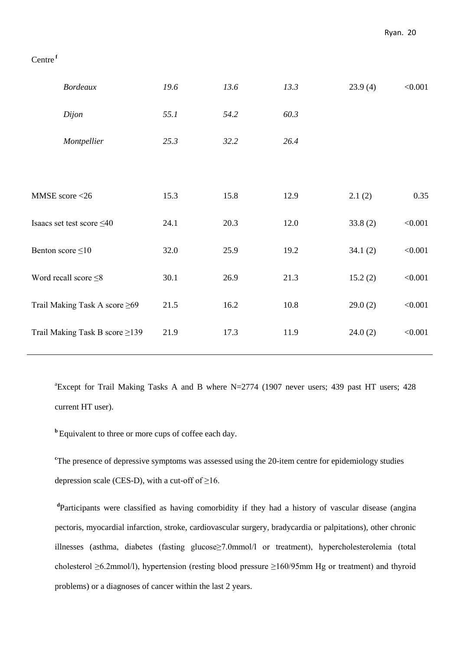### Centre **<sup>f</sup>**

| <b>Bordeaux</b>                     | 19.6 | 13.6 | 13.3 | 23.9(4) | < 0.001 |
|-------------------------------------|------|------|------|---------|---------|
| Dijon                               | 55.1 | 54.2 | 60.3 |         |         |
| Montpellier                         | 25.3 | 32.2 | 26.4 |         |         |
|                                     |      |      |      |         |         |
| MMSE score <26                      | 15.3 | 15.8 | 12.9 | 2.1(2)  | 0.35    |
| Isaacs set test score $\leq 40$     | 24.1 | 20.3 | 12.0 | 33.8(2) | < 0.001 |
| Benton score $\leq 10$              | 32.0 | 25.9 | 19.2 | 34.1(2) | < 0.001 |
| Word recall score $\leq 8$          | 30.1 | 26.9 | 21.3 | 15.2(2) | < 0.001 |
| Trail Making Task A score $\geq 69$ | 21.5 | 16.2 | 10.8 | 29.0(2) | < 0.001 |
| Trail Making Task B score ≥139      | 21.9 | 17.3 | 11.9 | 24.0(2) | < 0.001 |
|                                     |      |      |      |         |         |

<sup>a</sup>Except for Trail Making Tasks A and B where N=2774 (1907 never users; 439 past HT users; 428 current HT user).

**<sup>b</sup>**Equivalent to three or more cups of coffee each day.

<sup>c</sup>The presence of depressive symptoms was assessed using the 20-item centre for epidemiology studies depression scale (CES-D), with a cut-off of  $\geq$ 16.

**d** Participants were classified as having comorbidity if they had a history of vascular disease (angina pectoris, myocardial infarction, stroke, cardiovascular surgery, bradycardia or palpitations), other chronic illnesses (asthma, diabetes (fasting glucose≥7.0mmol/l or treatment), hypercholesterolemia (total cholesterol ≥6.2mmol/l), hypertension (resting blood pressure ≥160/95mm Hg or treatment) and thyroid problems) or a diagnoses of cancer within the last 2 years.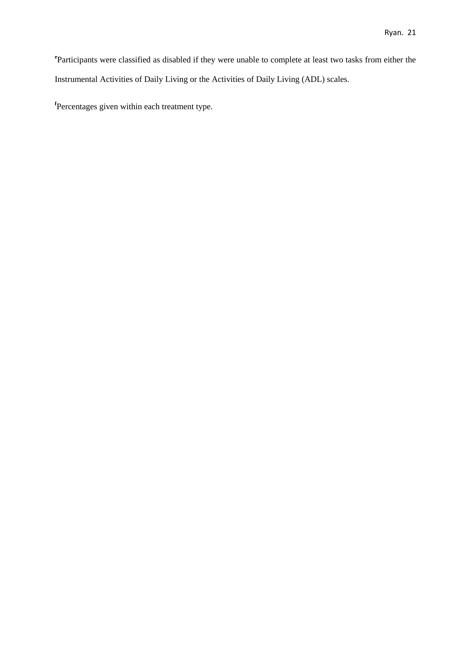**e** Participants were classified as disabled if they were unable to complete at least two tasks from either the Instrumental Activities of Daily Living or the Activities of Daily Living (ADL) scales.

**f** Percentages given within each treatment type.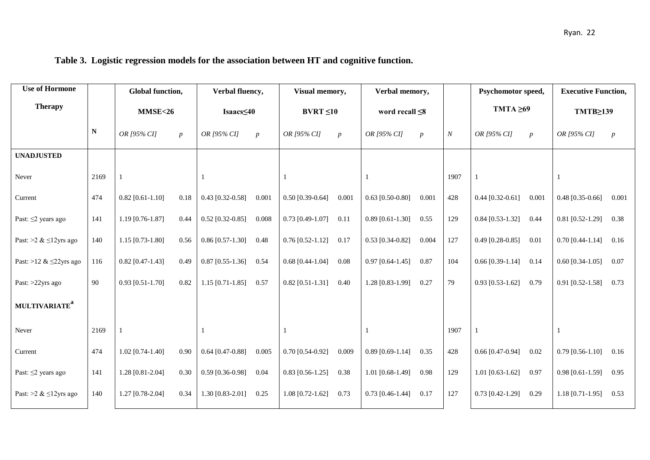| <b>Use of Hormone</b>           |      |                    | Global function, |                    | Verbal fluency,  |                           | Visual memory,   |                    | Verbal memory,       |      | Psychomotor speed, |                  | <b>Executive Function,</b> |                  |
|---------------------------------|------|--------------------|------------------|--------------------|------------------|---------------------------|------------------|--------------------|----------------------|------|--------------------|------------------|----------------------------|------------------|
| <b>Therapy</b>                  |      | <b>MMSE&lt;26</b>  |                  | Isaacs≤40          |                  |                           | $BVRT \leq 10$   |                    | word recall $\leq 8$ |      | TMTA $\geq 69$     |                  | TMTB≥139                   |                  |
|                                 | N    | OR [95% CI]        | $\boldsymbol{p}$ | OR [95% CI]        | $\boldsymbol{p}$ | OR [95% CI]               | $\boldsymbol{p}$ | OR [95% CI]        | $\boldsymbol{p}$     | N    | OR [95% CI]        | $\boldsymbol{p}$ | OR [95% CI]                | $\boldsymbol{p}$ |
| <b>UNADJUSTED</b>               |      |                    |                  |                    |                  |                           |                  |                    |                      |      |                    |                  |                            |                  |
| Never                           | 2169 |                    |                  |                    |                  |                           |                  |                    |                      | 1907 |                    |                  |                            |                  |
| Current                         | 474  | $0.82$ [0.61-1.10] | 0.18             | $0.43$ [0.32-0.58] | 0.001            | $0.50$ [0.39-0.64]        | 0.001            | $0.63$ [0.50-0.80] | 0.001                | 428  | $0.44$ [0.32-0.61] | 0.001            | $0.48$ [0.35-0.66]         | 0.001            |
| Past: $\leq$ 2 years ago        | 141  | $1.19$ [0.76-1.87] | 0.44             | $0.52$ [0.32-0.85] | 0.008            | $0.73$ [0.49-1.07] $0.11$ |                  | $0.89$ [0.61-1.30] | 0.55                 | 129  | $0.84$ [0.53-1.32] | 0.44             | $0.81$ [0.52-1.29]         | 0.38             |
| Past: >2 & $\leq$ 12yrs ago     | 140  | $1.15$ [0.73-1.80] | 0.56             | $0.86$ [0.57-1.30] | 0.48             | $0.76$ [0.52-1.12]        | 0.17             | $0.53$ [0.34-0.82] | 0.004                | 127  | $0.49$ [0.28-0.85] | 0.01             | $0.70$ [0.44-1.14]         | 0.16             |
| Past: >12 & $\leq$ 22yrs ago    | 116  | $0.82$ [0.47-1.43] | 0.49             | $0.87$ [0.55-1.36] | 0.54             | $0.68$ [0.44-1.04]        | 0.08             | $0.97$ [0.64-1.45] | 0.87                 | 104  | $0.66$ [0.39-1.14] | 0.14             | $0.60$ [0.34-1.05]         | 0.07             |
| Past: >22yrs ago                | 90   | $0.93$ [0.51-1.70] | 0.82             | $1.15$ [0.71-1.85] | 0.57             | $0.82$ [0.51-1.31]        | 0.40             | 1.28 [0.83-1.99]   | 0.27                 | 79   | $0.93$ [0.53-1.62] | 0.79             | $0.91$ [0.52-1.58]         | 0.73             |
| <b>MULTIVARIATE<sup>a</sup></b> |      |                    |                  |                    |                  |                           |                  |                    |                      |      |                    |                  |                            |                  |
| Never                           | 2169 |                    |                  |                    |                  |                           |                  |                    |                      | 1907 |                    |                  |                            |                  |
| Current                         | 474  | $1.02$ [0.74-1.40] | 0.90             | $0.64$ [0.47-0.88] | 0.005            | $0.70$ [0.54-0.92]        | 0.009            | $0.89$ [0.69-1.14] | 0.35                 | 428  | $0.66$ [0.47-0.94] | 0.02             | $0.79$ [0.56-1.10]         | 0.16             |
| Past: $\leq$ 2 years ago        | 141  | 1.28 [0.81-2.04]   | 0.30             | $0.59$ [0.36-0.98] | 0.04             | $0.83$ [0.56-1.25]        | 0.38             | $1.01$ [0.68-1.49] | 0.98                 | 129  | $1.01$ [0.63-1.62] | 0.97             | $0.98$ [0.61-1.59]         | 0.95             |
| Past: >2 & $\leq$ 12yrs ago     | 140  | 1.27 [0.78-2.04]   | 0.34             | $1.30$ [0.83-2.01] | 0.25             | $1.08$ [0.72-1.62]        | 0.73             | $0.73$ [0.46-1.44] | 0.17                 | 127  | $0.73$ [0.42-1.29] | 0.29             | $1.18$ [0.71-1.95]         | 0.53             |

### **Table 3. Logistic regression models for the association between HT and cognitive function.**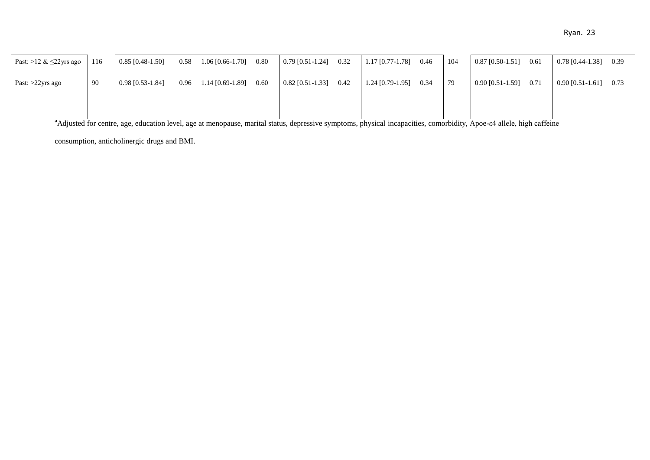| Past: >12 & $\leq$ 22yrs ago | 116 | $0.85$ [0.48-1.50] | 0.58 | $1.06$ [0.66-1.70] 0.80        | $0.79$ [0.51-1.24]      | 0.32 | 1.17 [0.77-1.78]   | 0.46 | 104 | $0.87$ [0.50-1.51] | 0.61 | $0.78$ [0.44-1.38] 0.39 |      |
|------------------------------|-----|--------------------|------|--------------------------------|-------------------------|------|--------------------|------|-----|--------------------|------|-------------------------|------|
| Past: $>22$ yrs ago          | 90  | $0.98$ [0.53-1.84] |      | $0.96$   1.14 [0.69-1.89] 0.60 | $0.82$ [0.51-1.33] 0.42 |      | $1.24$ [0.79-1.95] | 0.34 | 79  | $0.90$ [0.51-1.59] | 0.71 | $0.90$ [0.51-1.61]      | 0.73 |
|                              |     |                    |      |                                |                         |      |                    |      |     |                    |      |                         |      |

<sup>a</sup>Adjusted for centre, age, education level, age at menopause, marital status, depressive symptoms, physical incapacities, comorbidity, Apoe-ε4 allele, high caffeine

consumption, anticholinergic drugs and BMI.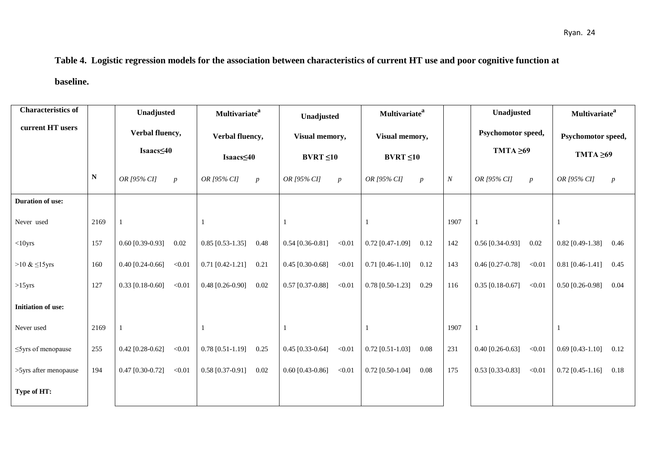# **Table 4. Logistic regression models for the association between characteristics of current HT use and poor cognitive function at**

**baseline.**

| <b>Characteristics of</b> |           | Unadjusted                   |                  | <b>Multivariate</b> <sup>a</sup>    |                  |                                  | Unadjusted       |                                  | Multivariate <sup>a</sup> |                  | Unadjusted                           |                  | <b>Multivariate</b> <sup>a</sup>     |                  |
|---------------------------|-----------|------------------------------|------------------|-------------------------------------|------------------|----------------------------------|------------------|----------------------------------|---------------------------|------------------|--------------------------------------|------------------|--------------------------------------|------------------|
| current HT users          |           | Verbal fluency,<br>Isaacs≤40 |                  | Verbal fluency,<br>$Isaacs \leq 40$ |                  | Visual memory,<br>$BVRT \leq 10$ |                  | Visual memory,<br>$BVRT \leq 10$ |                           |                  | Psychomotor speed,<br>TMTA $\geq 69$ |                  | Psychomotor speed,<br>TMTA $\geq 69$ |                  |
|                           | ${\bf N}$ | OR [95% CI]                  | $\boldsymbol{p}$ | OR [95% CI]                         | $\boldsymbol{p}$ | OR [95% CI]                      | $\boldsymbol{p}$ | OR [95% CI]                      | $\boldsymbol{p}$          | $\boldsymbol{N}$ | OR [95% CI]                          | $\boldsymbol{p}$ | OR [95% CI]                          | $\boldsymbol{p}$ |
| Duration of use:          |           |                              |                  |                                     |                  |                                  |                  |                                  |                           |                  |                                      |                  |                                      |                  |
| Never used                | 2169      |                              |                  |                                     |                  |                                  |                  |                                  |                           | 1907             |                                      |                  | 1                                    |                  |
| $<$ 10yrs                 | 157       | $0.60$ [0.39-0.93]           | 0.02             | $0.85$ [0.53-1.35]                  | 0.48             | $0.54$ [0.36-0.81]               | < 0.01           | $0.72$ [0.47-1.09]               | 0.12                      | 142              | $0.56$ [0.34-0.93]                   | 0.02             | $0.82$ [0.49-1.38]                   | 0.46             |
| $>10 \& 15$ yrs           | 160       | $0.40$ [0.24-0.66]           | < 0.01           | $0.71$ [0.42-1.21]                  | 0.21             | $0.45$ [0.30-0.68]               | < 0.01           | $0.71$ [0.46-1.10]               | 0.12                      | 143              | $0.46$ [0.27-0.78]                   | < 0.01           | $0.81$ [0.46-1.41]                   | 0.45             |
| $>15$ yrs                 | 127       | $0.33$ [0.18-0.60]           | < 0.01           | $0.48$ [0.26-0.90]                  | 0.02             | $0.57$ [0.37-0.88]               | < 0.01           | $0.78$ [0.50-1.23]               | 0.29                      | 116              | $0.35$ [0.18-0.67]                   | < 0.01           | $0.50$ [0.26-0.98]                   | 0.04             |
| <b>Initiation of use:</b> |           |                              |                  |                                     |                  |                                  |                  |                                  |                           |                  |                                      |                  |                                      |                  |
| Never used                | 2169      |                              |                  |                                     |                  |                                  |                  |                                  |                           | 1907             |                                      |                  |                                      |                  |
| $\leq$ 5yrs of menopause  | 255       | $0.42$ [0.28-0.62]           | < 0.01           | $0.78$ [0.51-1.19]                  | 0.25             | $0.45$ [0.33-0.64]               | < 0.01           | $0.72$ [0.51-1.03]               | 0.08                      | 231              | $0.40$ [0.26-0.63]                   | < 0.01           | $0.69$ [0.43-1.10]                   | 0.12             |
| >5yrs after menopause     | 194       | $0.47$ [0.30-0.72]           | < 0.01           | $0.58$ [0.37-0.91]                  | 0.02             | $0.60$ [0.43-0.86]               | < 0.01           | $0.72$ [0.50-1.04]               | 0.08                      | 175              | $0.53$ [0.33-0.83]                   | < 0.01           | $0.72$ [0.45-1.16]                   | 0.18             |
| Type of HT:               |           |                              |                  |                                     |                  |                                  |                  |                                  |                           |                  |                                      |                  |                                      |                  |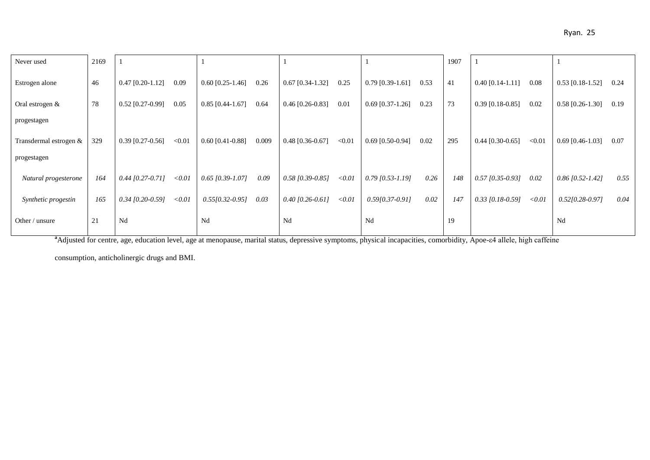| Never used             | 2169 |                    |        |                    |       |                    |        |                    |      | 1907 |                    |        |                     |      |
|------------------------|------|--------------------|--------|--------------------|-------|--------------------|--------|--------------------|------|------|--------------------|--------|---------------------|------|
| Estrogen alone         | 46   | $0.47$ [0.20-1.12] | 0.09   | $0.60$ [0.25-1.46] | 0.26  | $0.67$ [0.34-1.32] | 0.25   | $0.79$ [0.39-1.61] | 0.53 | 41   | $0.40$ [0.14-1.11] | 0.08   | $0.53$ [0.18-1.52]  | 0.24 |
| Oral estrogen $\&$     | 78   | $0.52$ [0.27-0.99] | 0.05   | $0.85$ [0.44-1.67] | 0.64  | $0.46$ [0.26-0.83] | 0.01   | $0.69$ [0.37-1.26] | 0.23 | 73   | $0.39$ [0.18-0.85] | 0.02   | $0.58$ [0.26-1.30]  | 0.19 |
| progestagen            |      |                    |        |                    |       |                    |        |                    |      |      |                    |        |                     |      |
| Transdermal estrogen & | 329  | $0.39$ [0.27-0.56] | < 0.01 | $0.60$ [0.41-0.88] | 0.009 | $0.48$ [0.36-0.67] | < 0.01 | $0.69$ [0.50-0.94] | 0.02 | 295  | $0.44$ [0.30-0.65] | < 0.01 | $0.69$ [0.46-1.03]  | 0.07 |
| progestagen            |      |                    |        |                    |       |                    |        |                    |      |      |                    |        |                     |      |
| Natural progesterone   | 164  | $0.44$ [0.27-0.71] | < 0.01 | $0.65$ [0.39-1.07] | 0.09  | $0.58$ [0.39-0.85] | < 0.01 | $0.79$ [0.53-1.19] | 0.26 | 148  | $0.57$ [0.35-0.93] | 0.02   | $0.86$ [0.52-1.42]  | 0.55 |
| Synthetic progestin    | 165  | $0.34$ [0.20-0.59] | < 0.01 | $0.55[0.32-0.95]$  | 0.03  | $0.40$ [0.26-0.61] | < 0.01 | $0.59[0.37-0.91]$  | 0.02 | 147  | $0.33$ [0.18-0.59] | < 0.01 | $0.5210.28 - 0.971$ | 0.04 |
| Other / unsure         | 21   | Nd                 |        | Nd                 |       | Nd                 |        | Nd                 |      | 19   |                    |        | Nd                  |      |

**a**<br> **a**Adjusted for centre, age, education level, age at menopause, marital status, depressive symptoms, physical incapacities, comorbidity, Apoe-ε4 allele, high caffeine

consumption, anticholinergic drugs and BMI.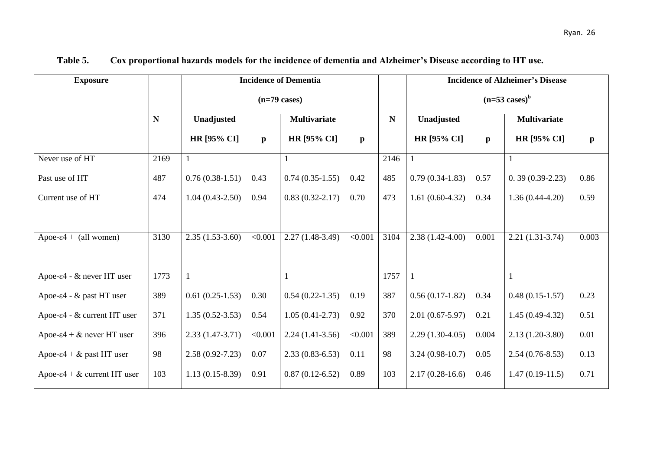| <b>Exposure</b>                        |      |                     |              | <b>Incidence of Dementia</b> |              |      | <b>Incidence of Alzheimer's Disease</b> |              |                     |              |  |  |
|----------------------------------------|------|---------------------|--------------|------------------------------|--------------|------|-----------------------------------------|--------------|---------------------|--------------|--|--|
|                                        |      |                     |              | $(n=79 \text{ cases})$       |              |      | $(n=53 \text{ cases})^b$                |              |                     |              |  |  |
|                                        | N    | Unadjusted          |              | <b>Multivariate</b>          |              | N    | Unadjusted                              |              | <b>Multivariate</b> |              |  |  |
|                                        |      | <b>HR</b> [95% CI]  | $\mathbf{p}$ | <b>HR</b> [95% CI]           | $\mathbf{p}$ |      | <b>HR</b> [95% CI]                      | $\mathbf{p}$ | <b>HR</b> [95% CI]  | $\mathbf{p}$ |  |  |
| Never use of HT                        | 2169 |                     |              |                              |              | 2146 |                                         |              |                     |              |  |  |
| Past use of HT                         | 487  | $0.76(0.38-1.51)$   | 0.43         | $0.74(0.35-1.55)$            | 0.42         | 485  | $0.79(0.34-1.83)$                       | 0.57         | $0.39(0.39-2.23)$   | 0.86         |  |  |
| Current use of HT                      | 474  | $1.04(0.43-2.50)$   | 0.94         | $0.83(0.32 - 2.17)$          | 0.70         | 473  | $1.61(0.60-4.32)$                       | 0.34         | $1.36(0.44-4.20)$   | 0.59         |  |  |
|                                        |      |                     |              |                              |              |      |                                         |              |                     |              |  |  |
| Apoe- $\varepsilon$ 4 + (all women)    | 3130 | $2.35(1.53-3.60)$   | < 0.001      | $2.27(1.48-3.49)$            | < 0.001      | 3104 | $2.38(1.42 - 4.00)$                     | 0.001        | $2.21(1.31-3.74)$   | 0.003        |  |  |
|                                        |      |                     |              |                              |              |      |                                         |              |                     |              |  |  |
| Apoe-ε4 - & never HT user              | 1773 |                     |              | 1                            |              | 1757 | 1                                       |              |                     |              |  |  |
| Apoe-ε4 - & past HT user               | 389  | $0.61(0.25-1.53)$   | 0.30         | $0.54(0.22-1.35)$            | 0.19         | 387  | $0.56(0.17-1.82)$                       | 0.34         | $0.48(0.15-1.57)$   | 0.23         |  |  |
| Apoe-ε4 - & current HT user            | 371  | $1.35(0.52 - 3.53)$ | 0.54         | $1.05(0.41 - 2.73)$          | 0.92         | 370  | $2.01(0.67-5.97)$                       | 0.21         | $1.45(0.49-4.32)$   | 0.51         |  |  |
| Apoe-ε4 + & never HT user              | 396  | $2.33(1.47-3.71)$   | < 0.001      | $2.24(1.41-3.56)$            | < 0.001      | 389  | $2.29(1.30-4.05)$                       | 0.004        | $2.13(1.20-3.80)$   | 0.01         |  |  |
| Apoe- $\varepsilon$ 4 + & past HT user | 98   | $2.58(0.92 - 7.23)$ | 0.07         | $2.33(0.83 - 6.53)$          | 0.11         | 98   | $3.24(0.98-10.7)$                       | 0.05         | $2.54(0.76-8.53)$   | 0.13         |  |  |
| Apoe-ε4 + & current HT user            | 103  | $1.13(0.15-8.39)$   | 0.91         | $0.87(0.12-6.52)$            | 0.89         | 103  | $2.17(0.28-16.6)$                       | 0.46         | $1.47(0.19-11.5)$   | 0.71         |  |  |

### **Table 5. Cox proportional hazards models for the incidence of dementia and Alzheimer's Disease according to HT use.**